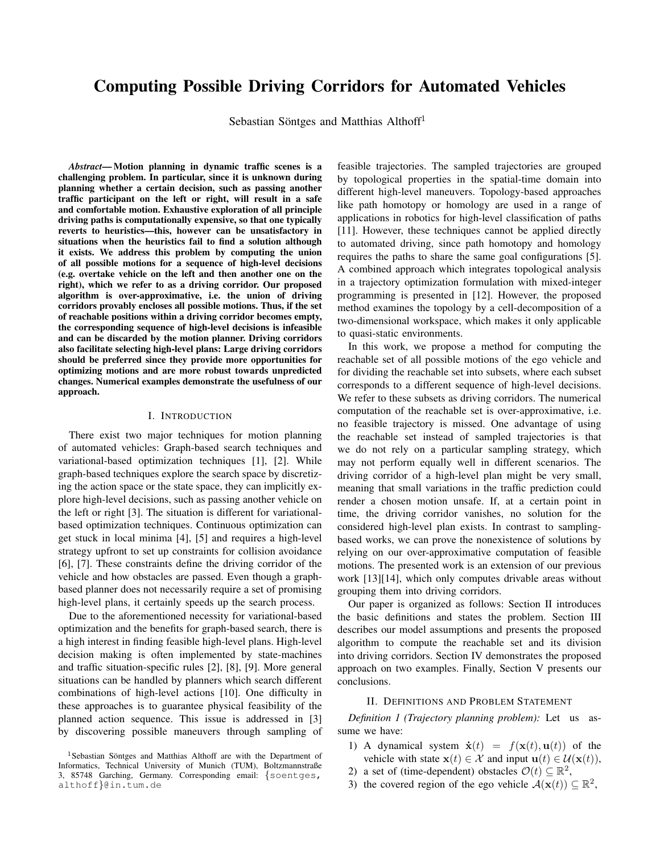# Computing Possible Driving Corridors for Automated Vehicles

Sebastian Söntges and Matthias Althoff<sup>1</sup>

*Abstract*— Motion planning in dynamic traffic scenes is a challenging problem. In particular, since it is unknown during planning whether a certain decision, such as passing another traffic participant on the left or right, will result in a safe and comfortable motion. Exhaustive exploration of all principle driving paths is computationally expensive, so that one typically reverts to heuristics—this, however can be unsatisfactory in situations when the heuristics fail to find a solution although it exists. We address this problem by computing the union of all possible motions for a sequence of high-level decisions (e.g. overtake vehicle on the left and then another one on the right), which we refer to as a driving corridor. Our proposed algorithm is over-approximative, i.e. the union of driving corridors provably encloses all possible motions. Thus, if the set of reachable positions within a driving corridor becomes empty, the corresponding sequence of high-level decisions is infeasible and can be discarded by the motion planner. Driving corridors also facilitate selecting high-level plans: Large driving corridors should be preferred since they provide more opportunities for optimizing motions and are more robust towards unpredicted changes. Numerical examples demonstrate the usefulness of our approach.

## I. INTRODUCTION

There exist two major techniques for motion planning of automated vehicles: Graph-based search techniques and variational-based optimization techniques [1], [2]. While graph-based techniques explore the search space by discretizing the action space or the state space, they can implicitly explore high-level decisions, such as passing another vehicle on the left or right [3]. The situation is different for variationalbased optimization techniques. Continuous optimization can get stuck in local minima [4], [5] and requires a high-level strategy upfront to set up constraints for collision avoidance [6], [7]. These constraints define the driving corridor of the vehicle and how obstacles are passed. Even though a graphbased planner does not necessarily require a set of promising high-level plans, it certainly speeds up the search process.

Due to the aforementioned necessity for variational-based optimization and the benefits for graph-based search, there is a high interest in finding feasible high-level plans. High-level decision making is often implemented by state-machines and traffic situation-specific rules [2], [8], [9]. More general situations can be handled by planners which search different combinations of high-level actions [10]. One difficulty in these approaches is to guarantee physical feasibility of the planned action sequence. This issue is addressed in [3] by discovering possible maneuvers through sampling of

feasible trajectories. The sampled trajectories are grouped by topological properties in the spatial-time domain into different high-level maneuvers. Topology-based approaches like path homotopy or homology are used in a range of applications in robotics for high-level classification of paths [11]. However, these techniques cannot be applied directly to automated driving, since path homotopy and homology requires the paths to share the same goal configurations [5]. A combined approach which integrates topological analysis in a trajectory optimization formulation with mixed-integer programming is presented in [12]. However, the proposed method examines the topology by a cell-decomposition of a two-dimensional workspace, which makes it only applicable to quasi-static environments.

In this work, we propose a method for computing the reachable set of all possible motions of the ego vehicle and for dividing the reachable set into subsets, where each subset corresponds to a different sequence of high-level decisions. We refer to these subsets as driving corridors. The numerical computation of the reachable set is over-approximative, i.e. no feasible trajectory is missed. One advantage of using the reachable set instead of sampled trajectories is that we do not rely on a particular sampling strategy, which may not perform equally well in different scenarios. The driving corridor of a high-level plan might be very small, meaning that small variations in the traffic prediction could render a chosen motion unsafe. If, at a certain point in time, the driving corridor vanishes, no solution for the considered high-level plan exists. In contrast to samplingbased works, we can prove the nonexistence of solutions by relying on our over-approximative computation of feasible motions. The presented work is an extension of our previous work [13][14], which only computes drivable areas without grouping them into driving corridors.

Our paper is organized as follows: Section II introduces the basic definitions and states the problem. Section III describes our model assumptions and presents the proposed algorithm to compute the reachable set and its division into driving corridors. Section IV demonstrates the proposed approach on two examples. Finally, Section V presents our conclusions.

## II. DEFINITIONS AND PROBLEM STATEMENT

*Definition 1 (Trajectory planning problem):* Let us assume we have:

- 1) A dynamical system  $\dot{\mathbf{x}}(t) = f(\mathbf{x}(t), \mathbf{u}(t))$  of the vehicle with state  $\mathbf{x}(t) \in \mathcal{X}$  and input  $\mathbf{u}(t) \in \mathcal{U}(\mathbf{x}(t)),$
- 2) a set of (time-dependent) obstacles  $\mathcal{O}(t) \subseteq \mathbb{R}^2$ ,
- 3) the covered region of the ego vehicle  $\mathcal{A}(\mathbf{x}(t)) \subseteq \mathbb{R}^2$ ,

 $1$ Sebastian Söntges and Matthias Althoff are with the Department of Informatics, Technical University of Munich (TUM), Boltzmannstraße 3, 85748 Garching, Germany. Corresponding email: {soentges, althoff}@in.tum.de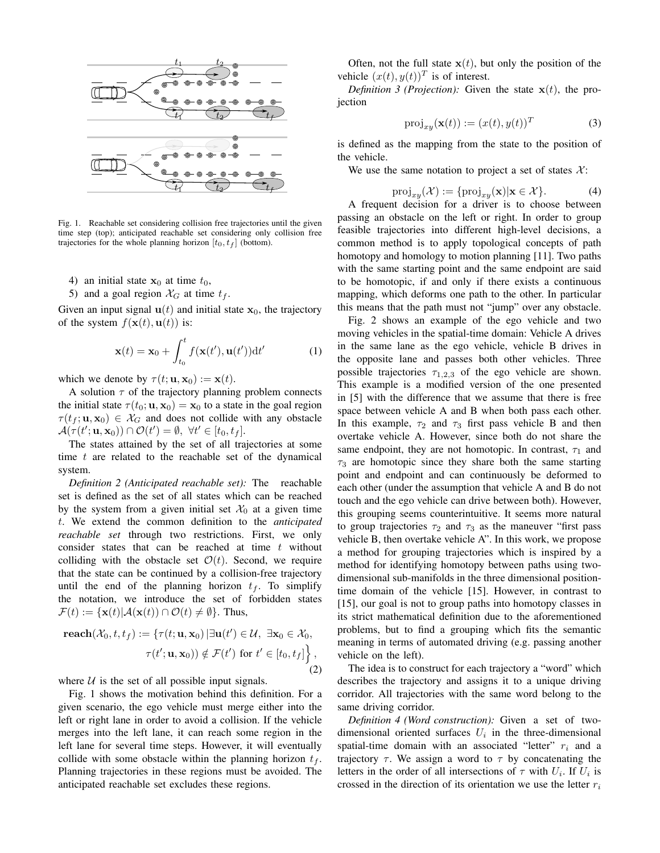

Fig. 1. Reachable set considering collision free trajectories until the given time step (top); anticipated reachable set considering only collision free trajectories for the whole planning horizon  $[t_0, t_f]$  (bottom).

- 4) an initial state  $x_0$  at time  $t_0$ ,
- 5) and a goal region  $\mathcal{X}_G$  at time  $t_f$ .

Given an input signal  $\mathbf{u}(t)$  and initial state  $\mathbf{x}_0$ , the trajectory of the system  $f(\mathbf{x}(t), \mathbf{u}(t))$  is:

$$
\mathbf{x}(t) = \mathbf{x}_0 + \int_{t_0}^t f(\mathbf{x}(t'), \mathbf{u}(t')) \mathrm{d}t'
$$
 (1)

which we denote by  $\tau(t; \mathbf{u}, \mathbf{x}_0) := \mathbf{x}(t)$ .

A solution  $\tau$  of the trajectory planning problem connects the initial state  $\tau(t_0; \mathbf{u}, \mathbf{x}_0) = \mathbf{x}_0$  to a state in the goal region  $\tau(t_f; \mathbf{u}, \mathbf{x}_0) \in \mathcal{X}_G$  and does not collide with any obstacle  $\mathcal{A}(\tau(t'; \mathbf{u}, \mathbf{x}_0)) \cap \mathcal{O}(t') = \emptyset, \ \forall t' \in [t_0, t_f].$ 

The states attained by the set of all trajectories at some time  $t$  are related to the reachable set of the dynamical system.

*Definition 2 (Anticipated reachable set):* The reachable set is defined as the set of all states which can be reached by the system from a given initial set  $\mathcal{X}_0$  at a given time t. We extend the common definition to the *anticipated reachable set* through two restrictions. First, we only consider states that can be reached at time  $t$  without colliding with the obstacle set  $\mathcal{O}(t)$ . Second, we require that the state can be continued by a collision-free trajectory until the end of the planning horizon  $t_f$ . To simplify the notation, we introduce the set of forbidden states  $\mathcal{F}(t) := {\mathbf{x}(t) | \mathcal{A}(\mathbf{x}(t)) \cap \mathcal{O}(t) \neq \emptyset}.$  Thus,

$$
\begin{aligned}\n\textbf{reach}(\mathcal{X}_0, t, t_f) &:= \{ \tau(t; \mathbf{u}, \mathbf{x}_0) \, | \exists \mathbf{u}(t') \in \mathcal{U}, \exists \mathbf{x}_0 \in \mathcal{X}_0, \\
\tau(t'; \mathbf{u}, \mathbf{x}_0)) \notin \mathcal{F}(t') \text{ for } t' \in [t_0, t_f] \},\n\end{aligned}
$$
\n
$$
(2)
$$

where  $U$  is the set of all possible input signals.

Fig. 1 shows the motivation behind this definition. For a given scenario, the ego vehicle must merge either into the left or right lane in order to avoid a collision. If the vehicle merges into the left lane, it can reach some region in the left lane for several time steps. However, it will eventually collide with some obstacle within the planning horizon  $t_f$ . Planning trajectories in these regions must be avoided. The anticipated reachable set excludes these regions.

Often, not the full state  $x(t)$ , but only the position of the vehicle  $(x(t), y(t))^T$  is of interest.

*Definition 3 (Projection):* Given the state  $x(t)$ , the projection

$$
\text{proj}_{xy}(\mathbf{x}(t)) := (x(t), y(t))^T \tag{3}
$$

is defined as the mapping from the state to the position of the vehicle.

We use the same notation to project a set of states  $\mathcal{X}$ :

$$
\text{proj}_{xy}(\mathcal{X}) := \{ \text{proj}_{xy}(\mathbf{x}) | \mathbf{x} \in \mathcal{X} \}. \tag{4}
$$

A frequent decision for a driver is to choose between passing an obstacle on the left or right. In order to group feasible trajectories into different high-level decisions, a common method is to apply topological concepts of path homotopy and homology to motion planning [11]. Two paths with the same starting point and the same endpoint are said to be homotopic, if and only if there exists a continuous mapping, which deforms one path to the other. In particular this means that the path must not "jump" over any obstacle.

Fig. 2 shows an example of the ego vehicle and two moving vehicles in the spatial-time domain: Vehicle A drives in the same lane as the ego vehicle, vehicle B drives in the opposite lane and passes both other vehicles. Three possible trajectories  $\tau_{1,2,3}$  of the ego vehicle are shown. This example is a modified version of the one presented in [5] with the difference that we assume that there is free space between vehicle A and B when both pass each other. In this example,  $\tau_2$  and  $\tau_3$  first pass vehicle B and then overtake vehicle A. However, since both do not share the same endpoint, they are not homotopic. In contrast,  $\tau_1$  and  $\tau_3$  are homotopic since they share both the same starting point and endpoint and can continuously be deformed to each other (under the assumption that vehicle A and B do not touch and the ego vehicle can drive between both). However, this grouping seems counterintuitive. It seems more natural to group trajectories  $\tau_2$  and  $\tau_3$  as the maneuver "first pass vehicle B, then overtake vehicle A". In this work, we propose a method for grouping trajectories which is inspired by a method for identifying homotopy between paths using twodimensional sub-manifolds in the three dimensional positiontime domain of the vehicle [15]. However, in contrast to [15], our goal is not to group paths into homotopy classes in its strict mathematical definition due to the aforementioned problems, but to find a grouping which fits the semantic meaning in terms of automated driving (e.g. passing another vehicle on the left).

The idea is to construct for each trajectory a "word" which describes the trajectory and assigns it to a unique driving corridor. All trajectories with the same word belong to the same driving corridor.

*Definition 4 (Word construction):* Given a set of twodimensional oriented surfaces  $U_i$  in the three-dimensional spatial-time domain with an associated "letter"  $r_i$  and a trajectory  $\tau$ . We assign a word to  $\tau$  by concatenating the letters in the order of all intersections of  $\tau$  with  $U_i$ . If  $U_i$  is crossed in the direction of its orientation we use the letter  $r_i$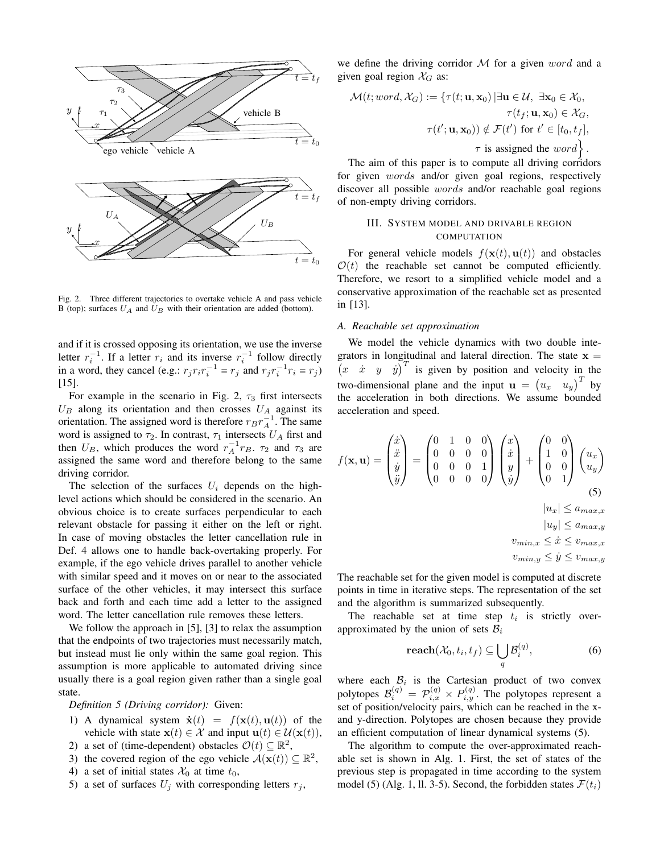

Fig. 2. Three different trajectories to overtake vehicle A and pass vehicle B (top); surfaces  $U_A$  and  $U_B$  with their orientation are added (bottom).

and if it is crossed opposing its orientation, we use the inverse letter  $r_i^{-1}$ . If a letter  $r_i$  and its inverse  $r_i^{-1}$  follow directly in a word, they cancel (e.g.:  $r_j r_i r_i^{-1} = r_j$  and  $r_j r_i^{-1} r_i = r_j$ ) [15].

For example in the scenario in Fig. 2,  $\tau_3$  first intersects  $U_B$  along its orientation and then crosses  $U_A$  against its orientation. The assigned word is therefore  $r_B r_A^{-1}$ . The same word is assigned to  $\tau_2$ . In contrast,  $\tau_1$  intersects  $U_A$  first and then  $U_B$ , which produces the word  $r_A^{-1}r_B$ .  $\tau_2$  and  $\tau_3$  are assigned the same word and therefore belong to the same driving corridor.

The selection of the surfaces  $U_i$  depends on the highlevel actions which should be considered in the scenario. An obvious choice is to create surfaces perpendicular to each relevant obstacle for passing it either on the left or right. In case of moving obstacles the letter cancellation rule in Def. 4 allows one to handle back-overtaking properly. For example, if the ego vehicle drives parallel to another vehicle with similar speed and it moves on or near to the associated surface of the other vehicles, it may intersect this surface back and forth and each time add a letter to the assigned word. The letter cancellation rule removes these letters.

We follow the approach in [5], [3] to relax the assumption that the endpoints of two trajectories must necessarily match, but instead must lie only within the same goal region. This assumption is more applicable to automated driving since usually there is a goal region given rather than a single goal state.

*Definition 5 (Driving corridor):* Given:

- 1) A dynamical system  $\dot{\mathbf{x}}(t) = f(\mathbf{x}(t), \mathbf{u}(t))$  of the vehicle with state  $\mathbf{x}(t) \in \mathcal{X}$  and input  $\mathbf{u}(t) \in \mathcal{U}(\mathbf{x}(t)),$
- 2) a set of (time-dependent) obstacles  $\mathcal{O}(t) \subseteq \mathbb{R}^2$ ,
- 3) the covered region of the ego vehicle  $\mathcal{A}(\mathbf{x}(t)) \subseteq \mathbb{R}^2$ ,
- 4) a set of initial states  $\mathcal{X}_0$  at time  $t_0$ ,
- 5) a set of surfaces  $U_i$  with corresponding letters  $r_i$ ,

we define the driving corridor  $M$  for a given word and a given goal region  $\mathcal{X}_G$  as:

$$
\mathcal{M}(t; word, \mathcal{X}_G) := \{ \tau(t; \mathbf{u}, \mathbf{x}_0) \, | \, \exists \mathbf{u} \in \mathcal{U}, \, \exists \mathbf{x}_0 \in \mathcal{X}_0, \n\tau(t_f; \mathbf{u}, \mathbf{x}_0) \in \mathcal{X}_G, \n\tau(t'; \mathbf{u}, \mathbf{x}_0)) \notin \mathcal{F}(t') \text{ for } t' \in [t_0, t_f], \n\tau \text{ is assigned the } word \}.
$$

The aim of this paper is to compute all driving corridors for given words and/or given goal regions, respectively discover all possible words and/or reachable goal regions of non-empty driving corridors.

# III. SYSTEM MODEL AND DRIVABLE REGION **COMPUTATION**

For general vehicle models  $f(\mathbf{x}(t), \mathbf{u}(t))$  and obstacles  $\mathcal{O}(t)$  the reachable set cannot be computed efficiently. Therefore, we resort to a simplified vehicle model and a conservative approximation of the reachable set as presented in [13].

#### *A. Reachable set approximation*

We model the vehicle dynamics with two double integrators in longitudinal and lateral direction. The state  $x =$  $\begin{pmatrix} x & x & y & y \end{pmatrix}^T$  is given by position and velocity in the two-dimensional plane and the input  $\mathbf{u} = (u_x \quad u_y)^T$  by the acceleration in both directions. We assume bounded acceleration and speed.

$$
f(\mathbf{x}, \mathbf{u}) = \begin{pmatrix} \dot{x} \\ \ddot{x} \\ \dot{y} \\ \ddot{y} \end{pmatrix} = \begin{pmatrix} 0 & 1 & 0 & 0 \\ 0 & 0 & 0 & 0 \\ 0 & 0 & 0 & 1 \\ 0 & 0 & 0 & 0 \end{pmatrix} \begin{pmatrix} x \\ \dot{x} \\ y \\ \dot{y} \end{pmatrix} + \begin{pmatrix} 0 & 0 \\ 1 & 0 \\ 0 & 0 \\ 0 & 1 \end{pmatrix} \begin{pmatrix} u_x \\ u_y \end{pmatrix}
$$
  
\n
$$
|u_x| \le a_{max,x}
$$
  
\n
$$
|u_y| \le a_{max,y}
$$
  
\n
$$
v_{min,x} \le \dot{x} \le v_{max,x}
$$
  
\n
$$
v_{min,y} \le \dot{y} \le v_{max,y}
$$

The reachable set for the given model is computed at discrete points in time in iterative steps. The representation of the set and the algorithm is summarized subsequently.

The reachable set at time step  $t_i$  is strictly overapproximated by the union of sets  $B_i$ 

$$
\mathbf{reach}(\mathcal{X}_0, t_i, t_f) \subseteq \bigcup_{q} \mathcal{B}_i^{(q)},\tag{6}
$$

where each  $\beta_i$  is the Cartesian product of two convex polytopes  $\mathcal{B}_i^{(q)} = \mathcal{P}_{i,x}^{(q)} \times P_{i,y}^{(q)}$ . The polytopes represent a set of position/velocity pairs, which can be reached in the xand y-direction. Polytopes are chosen because they provide an efficient computation of linear dynamical systems (5).

The algorithm to compute the over-approximated reachable set is shown in Alg. 1. First, the set of states of the previous step is propagated in time according to the system model (5) (Alg. 1, ll. 3-5). Second, the forbidden states  $\mathcal{F}(t_i)$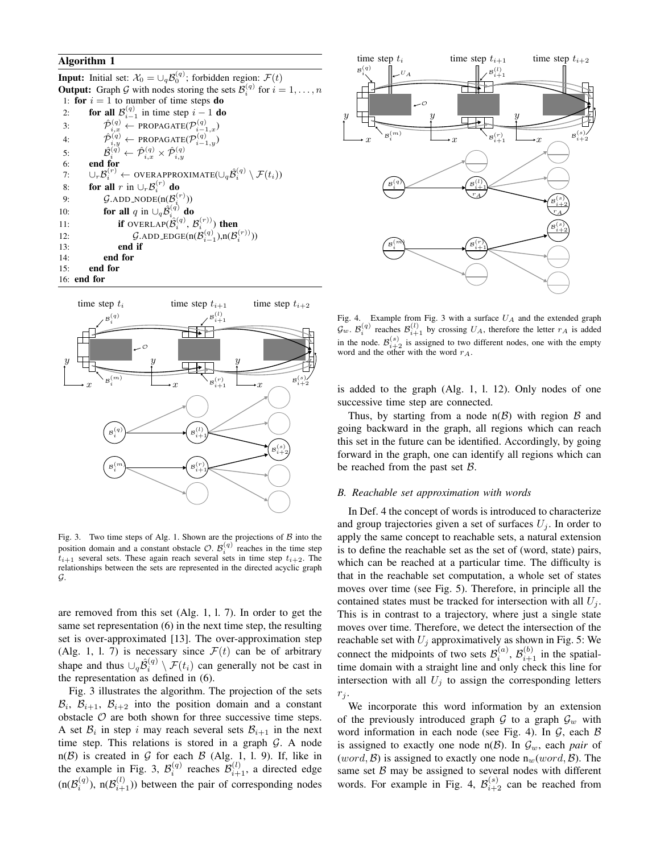## Algorithm 1

**Input:** Initial set:  $\mathcal{X}_0 = \cup_q \mathcal{B}_0^{(q)}$ ; forbidden region:  $\mathcal{F}(t)$ **Output:** Graph G with nodes storing the sets  $\mathcal{B}_i^{(q)}$  for  $i = 1, ..., n$ 1: for  $i = 1$  to number of time steps **do** 2: for all  $\mathcal{B}_{i-1}^{(q)}$  in time step  $i-1$  do 3:  $\hat{\mathcal{P}}_{i,x}^{(q)} \leftarrow \texttt{PROPAGATE}(\mathcal{P}_{i-1,x}^{(q)})$ 4:  $\hat{\mathcal{P}}_{i,y}^{(q)} \leftarrow \texttt{PROPAGATE}(\mathcal{P}_{i-1,y}^{(q)})$ 5:  $\hat{\mathcal{B}}_{i}^{\left(q\right)} \leftarrow \hat{\mathcal{P}}_{i,x}^{\left(q\right)} \times \hat{\mathcal{P}}_{i,y}^{\left(q\right)}$ 6: end for 7:  $\cup_{r} \mathcal{B}_i^{(r)} \leftarrow \text{overapproximate}(\cup_{q} \hat{\mathcal{B}}_i^{(q)} \setminus \mathcal{F}(t_i))$ 8: **for all** r in  $\cup_r \mathcal{B}_i^{(r)}$  do 9:  $\mathcal{G}$ .ADD\_NODE(n( $\mathcal{B}_i^{(r)}$ )) 10: **for all** q in  $\cup_q \hat{\mathcal{B}}_{i}^{(q)}$  do 11: **if** OVERLAP $(\hat{\mathcal{B}}_i^{(q)}, \mathcal{B}_i^{(r)})$  then 12:  $\mathcal{G}.\text{ADD}.\text{EDGE}(n(\mathcal{B}_{i-1}^{(q)}),n(\mathcal{B}_{i}^{(r)})))$ 13: end if 14: end for 15: end for 16: end for



Fig. 3. Two time steps of Alg. 1. Shown are the projections of  $\beta$  into the position domain and a constant obstacle  $\mathcal{O}$ .  $\mathcal{B}_i^{(q)}$  reaches in the time step  $t_{i+1}$  several sets. These again reach several sets in time step  $t_{i+2}$ . The relationships between the sets are represented in the directed acyclic graph G.

are removed from this set (Alg. 1, l. 7). In order to get the same set representation (6) in the next time step, the resulting set is over-approximated [13]. The over-approximation step (Alg. 1, 1. 7) is necessary since  $\mathcal{F}(t)$  can be of arbitrary shape and thus  $\cup_q \hat{\mathcal{B}}_i^{(q)} \setminus \mathcal{F}(t_i)$  can generally not be cast in the representation as defined in (6).

Fig. 3 illustrates the algorithm. The projection of the sets  $\mathcal{B}_i$ ,  $\mathcal{B}_{i+1}$ ,  $\mathcal{B}_{i+2}$  into the position domain and a constant obstacle  $O$  are both shown for three successive time steps. A set  $B_i$  in step i may reach several sets  $B_{i+1}$  in the next time step. This relations is stored in a graph  $G$ . A node  $n(\mathcal{B})$  is created in  $\mathcal G$  for each  $\mathcal B$  (Alg. 1, 1, 9). If, like in the example in Fig. 3,  $\mathcal{B}_{i}^{(q)}$  reaches  $\mathcal{B}_{i+1}^{(l)}$ , a directed edge  $(n(\mathcal{B}_{i}^{(q)}), n(\mathcal{B}_{i+1}^{(l)}))$  between the pair of corresponding nodes



Fig. 4. Example from Fig. 3 with a surface  $U_A$  and the extended graph  $\mathcal{G}_w$ .  $\mathcal{B}_i^{(q)}$  reaches  $\mathcal{B}_{i+1}^{(l)}$  by crossing  $U_A$ , therefore the letter  $r_A$  is added in the node.  $\mathcal{B}_{i+2}^{(s)}$  is assigned to two different nodes, one with the empty word and the other with the word  $r_A$ .

is added to the graph (Alg. 1, l. 12). Only nodes of one successive time step are connected.

Thus, by starting from a node  $n(\mathcal{B})$  with region  $\mathcal B$  and going backward in the graph, all regions which can reach this set in the future can be identified. Accordingly, by going forward in the graph, one can identify all regions which can be reached from the past set B.

## *B. Reachable set approximation with words*

In Def. 4 the concept of words is introduced to characterize and group trajectories given a set of surfaces  $U_i$ . In order to apply the same concept to reachable sets, a natural extension is to define the reachable set as the set of (word, state) pairs, which can be reached at a particular time. The difficulty is that in the reachable set computation, a whole set of states moves over time (see Fig. 5). Therefore, in principle all the contained states must be tracked for intersection with all  $U_i$ . This is in contrast to a trajectory, where just a single state moves over time. Therefore, we detect the intersection of the reachable set with  $U_j$  approximatively as shown in Fig. 5: We connect the midpoints of two sets  $\mathcal{B}_{i}^{(a)}$ ,  $\mathcal{B}_{i+1}^{(b)}$  in the spatialtime domain with a straight line and only check this line for intersection with all  $U_j$  to assign the corresponding letters  $r_j$ .

We incorporate this word information by an extension of the previously introduced graph  $G$  to a graph  $G_w$  with word information in each node (see Fig. 4). In  $G$ , each  $B$ is assigned to exactly one node  $n(\mathcal{B})$ . In  $\mathcal{G}_w$ , each *pair* of  $(word, \mathcal{B})$  is assigned to exactly one node  $n_w(word, \mathcal{B})$ . The same set  $\beta$  may be assigned to several nodes with different words. For example in Fig. 4,  $\mathcal{B}_{i+2}^{(s)}$  can be reached from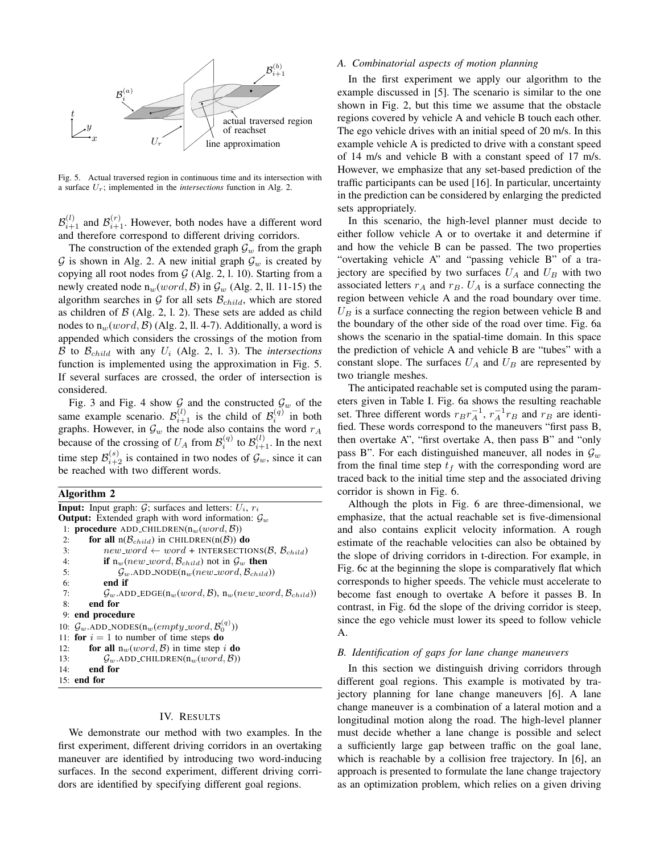

Fig. 5. Actual traversed region in continuous time and its intersection with a surface Ur; implemented in the *intersections* function in Alg. 2.

 $\mathcal{B}_{i+1}^{(l)}$  and  $\mathcal{B}_{i+1}^{(r)}$ . However, both nodes have a different word and therefore correspond to different driving corridors.

The construction of the extended graph  $\mathcal{G}_w$  from the graph G is shown in Alg. 2. A new initial graph  $\mathcal{G}_w$  is created by copying all root nodes from  $G$  (Alg. 2, 1, 10). Starting from a newly created node  $n_w(word, \mathcal{B})$  in  $\mathcal{G}_w$  (Alg. 2, ll. 11-15) the algorithm searches in  $G$  for all sets  $\mathcal{B}_{child}$ , which are stored as children of  $\beta$  (Alg. 2, 1, 2). These sets are added as child nodes to  $n_w(word, \mathcal{B})$  (Alg. 2, ll. 4-7). Additionally, a word is appended which considers the crossings of the motion from B to  $\mathcal{B}_{child}$  with any  $U_i$  (Alg. 2, 1. 3). The *intersections* function is implemented using the approximation in Fig. 5. If several surfaces are crossed, the order of intersection is considered.

Fig. 3 and Fig. 4 show  $\mathcal{G}$  and the constructed  $\mathcal{G}_w$  of the same example scenario.  $\mathcal{B}_{i+1}^{(l)}$  is the child of  $\mathcal{B}_{i}^{(q)}$  in both graphs. However, in  $\mathcal{G}_w$  the node also contains the word  $r_A$ because of the crossing of  $U_A$  from  $\mathcal{B}_i^{(q)}$  to  $\mathcal{B}_{i+1}^{(l)}$ . In the next time step  $\mathcal{B}_{i+2}^{(s)}$  is contained in two nodes of  $\mathcal{G}_w$ , since it can be reached with two different words.

#### Algorithm 2

| <b>Input:</b> Input graph: $G$ ; surfaces and letters: $U_i$ , $r_i$ |                                                                                                                 |  |  |
|----------------------------------------------------------------------|-----------------------------------------------------------------------------------------------------------------|--|--|
| <b>Output:</b> Extended graph with word information: $\mathcal{G}_w$ |                                                                                                                 |  |  |
| 1: <b>procedure</b> ADD_CHILDREN( $n_w(word, B)$ )                   |                                                                                                                 |  |  |
| 2:                                                                   | for all $n(\mathcal{B}_{child})$ in CHILDREN( $n(\mathcal{B})$ ) do                                             |  |  |
| 3:                                                                   | $new\_\textit{word} \leftarrow word + INTERSECTIONS(\mathcal{B}, \mathcal{B}_{child})$                          |  |  |
| 4:                                                                   | <b>if</b> $n_w(new_{word}, \mathcal{B}_{child})$ not in $\mathcal{G}_w$ then                                    |  |  |
| 5:                                                                   | $\mathcal{G}_w$ .ADD_NODE $(n_w(new\_word, \mathcal{B}_{child}))$                                               |  |  |
| 6:                                                                   | end if                                                                                                          |  |  |
| 7:                                                                   | $\mathcal{G}_w$ .ADD_EDGE $(\mathfrak{n}_w(word, \mathcal{B}), \mathfrak{n}_w(new\_word, \mathcal{B}_{child}))$ |  |  |
| 8:                                                                   | end for                                                                                                         |  |  |
|                                                                      | 9: end procedure                                                                                                |  |  |
|                                                                      | 10: $\mathcal{G}_w$ .ADD_NODES $(n_w(empty\_word, \mathcal{B}_0^{(q)}))$                                        |  |  |
|                                                                      | 11: for $i = 1$ to number of time steps do                                                                      |  |  |
| 12:                                                                  | <b>for all</b> $n_w(word, \mathcal{B})$ in time step i <b>do</b>                                                |  |  |
| 13:                                                                  | $\mathcal{G}_w$ .ADD_CHILDREN $(n_w(word, \mathcal{B}))$                                                        |  |  |
| 14:                                                                  | end for                                                                                                         |  |  |
| $15:$ end for                                                        |                                                                                                                 |  |  |

## IV. RESULTS

We demonstrate our method with two examples. In the first experiment, different driving corridors in an overtaking maneuver are identified by introducing two word-inducing surfaces. In the second experiment, different driving corridors are identified by specifying different goal regions.

## *A. Combinatorial aspects of motion planning*

In the first experiment we apply our algorithm to the example discussed in [5]. The scenario is similar to the one shown in Fig. 2, but this time we assume that the obstacle regions covered by vehicle A and vehicle B touch each other. The ego vehicle drives with an initial speed of 20 m/s. In this example vehicle A is predicted to drive with a constant speed of 14 m/s and vehicle B with a constant speed of 17 m/s. However, we emphasize that any set-based prediction of the traffic participants can be used [16]. In particular, uncertainty in the prediction can be considered by enlarging the predicted sets appropriately.

In this scenario, the high-level planner must decide to either follow vehicle A or to overtake it and determine if and how the vehicle B can be passed. The two properties "overtaking vehicle A" and "passing vehicle B" of a trajectory are specified by two surfaces  $U_A$  and  $U_B$  with two associated letters  $r_A$  and  $r_B$ .  $U_A$  is a surface connecting the region between vehicle A and the road boundary over time.  $U_B$  is a surface connecting the region between vehicle B and the boundary of the other side of the road over time. Fig. 6a shows the scenario in the spatial-time domain. In this space the prediction of vehicle A and vehicle B are "tubes" with a constant slope. The surfaces  $U_A$  and  $U_B$  are represented by two triangle meshes.

The anticipated reachable set is computed using the parameters given in Table I. Fig. 6a shows the resulting reachable set. Three different words  $r_B r_A^{-1}$ ,  $r_A^{-1} r_B$  and  $r_B$  are identified. These words correspond to the maneuvers "first pass B, then overtake A", "first overtake A, then pass B" and "only pass B". For each distinguished maneuver, all nodes in  $\mathcal{G}_w$ from the final time step  $t_f$  with the corresponding word are traced back to the initial time step and the associated driving corridor is shown in Fig. 6.

Although the plots in Fig. 6 are three-dimensional, we emphasize, that the actual reachable set is five-dimensional and also contains explicit velocity information. A rough estimate of the reachable velocities can also be obtained by the slope of driving corridors in t-direction. For example, in Fig. 6c at the beginning the slope is comparatively flat which corresponds to higher speeds. The vehicle must accelerate to become fast enough to overtake A before it passes B. In contrast, in Fig. 6d the slope of the driving corridor is steep, since the ego vehicle must lower its speed to follow vehicle A.

## *B. Identification of gaps for lane change maneuvers*

In this section we distinguish driving corridors through different goal regions. This example is motivated by trajectory planning for lane change maneuvers [6]. A lane change maneuver is a combination of a lateral motion and a longitudinal motion along the road. The high-level planner must decide whether a lane change is possible and select a sufficiently large gap between traffic on the goal lane, which is reachable by a collision free trajectory. In [6], an approach is presented to formulate the lane change trajectory as an optimization problem, which relies on a given driving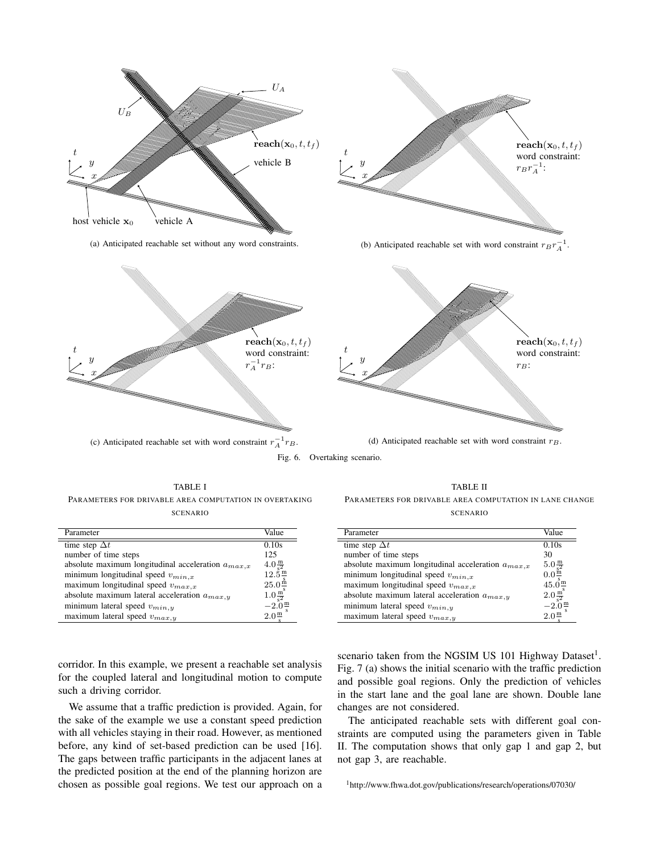

(c) Anticipated reachable set with word constraint  $r_A^{-1}r_B$ .



÷,

TABLE I PARAMETERS FOR DRIVABLE AREA COMPUTATION IN OVERTAKING SCENARIO

| Parameter                                              | Value                                                                                                                                                                        |
|--------------------------------------------------------|------------------------------------------------------------------------------------------------------------------------------------------------------------------------------|
|                                                        |                                                                                                                                                                              |
| time step $\Delta t$                                   | 0.10s                                                                                                                                                                        |
| number of time steps                                   | 125                                                                                                                                                                          |
| absolute maximum longitudinal acceleration $a_{max.x}$ |                                                                                                                                                                              |
| minimum longitudinal speed $v_{min,x}$                 | $\begin{array}{@{}c@{\hspace{0.5em}}c@{\hspace{0.5em}}c@{\hspace{0.5em}}}\n 4.0 & \frac{m}{s^2} \\  12.5 & \frac{m}{s} \\  25.0 & \frac{\text{h}}{\text{s}} \\  \end{array}$ |
| maximum longitudinal speed $v_{max,x}$                 |                                                                                                                                                                              |
| absolute maximum lateral acceleration $a_{max,y}$      | $1.0 \frac{\text{m}^3}{\text{s}^2}$<br>-2.0 $\frac{\text{m}}{\text{s}}$                                                                                                      |
| minimum lateral speed $v_{min,y}$                      |                                                                                                                                                                              |
| maximum lateral speed $v_{max,y}$                      | $2.0^{\rm m}$                                                                                                                                                                |

TABLE II PARAMETERS FOR DRIVABLE AREA COMPUTATION IN LANE CHANGE SCENARIO

| Parameter                                              | Value                                          |
|--------------------------------------------------------|------------------------------------------------|
| time step $\Delta t$                                   | 0.10s                                          |
| number of time steps                                   | 30                                             |
| absolute maximum longitudinal acceleration $a_{max.x}$ | $5.0 \frac{\text{m}}{\text{s}^2}$              |
| minimum longitudinal speed $v_{min,x}$                 | $0.0\frac{\text{m}}{\text{c}}$                 |
| maximum longitudinal speed $v_{max,x}$                 | $45.\overline{0}\frac{\text{m}}{\text{s}}$     |
| absolute maximum lateral acceleration $a_{max,y}$      |                                                |
| minimum lateral speed $v_{min,y}$                      | $\frac{2.0 \frac{m^3}{s^2}}{-2.0 \frac{m}{s}}$ |
| maximum lateral speed $v_{max,y}$                      | $2.0^{\frac{m}{2}}$                            |

corridor. In this example, we present a reachable set analysis for the coupled lateral and longitudinal motion to compute such a driving corridor.

We assume that a traffic prediction is provided. Again, for the sake of the example we use a constant speed prediction with all vehicles staying in their road. However, as mentioned before, any kind of set-based prediction can be used [16]. The gaps between traffic participants in the adjacent lanes at the predicted position at the end of the planning horizon are chosen as possible goal regions. We test our approach on a

scenario taken from the NGSIM US 101 Highway Dataset<sup>1</sup>. Fig. 7 (a) shows the initial scenario with the traffic prediction and possible goal regions. Only the prediction of vehicles in the start lane and the goal lane are shown. Double lane changes are not considered.

The anticipated reachable sets with different goal constraints are computed using the parameters given in Table II. The computation shows that only gap 1 and gap 2, but not gap 3, are reachable.

<sup>1</sup>http://www.fhwa.dot.gov/publications/research/operations/07030/